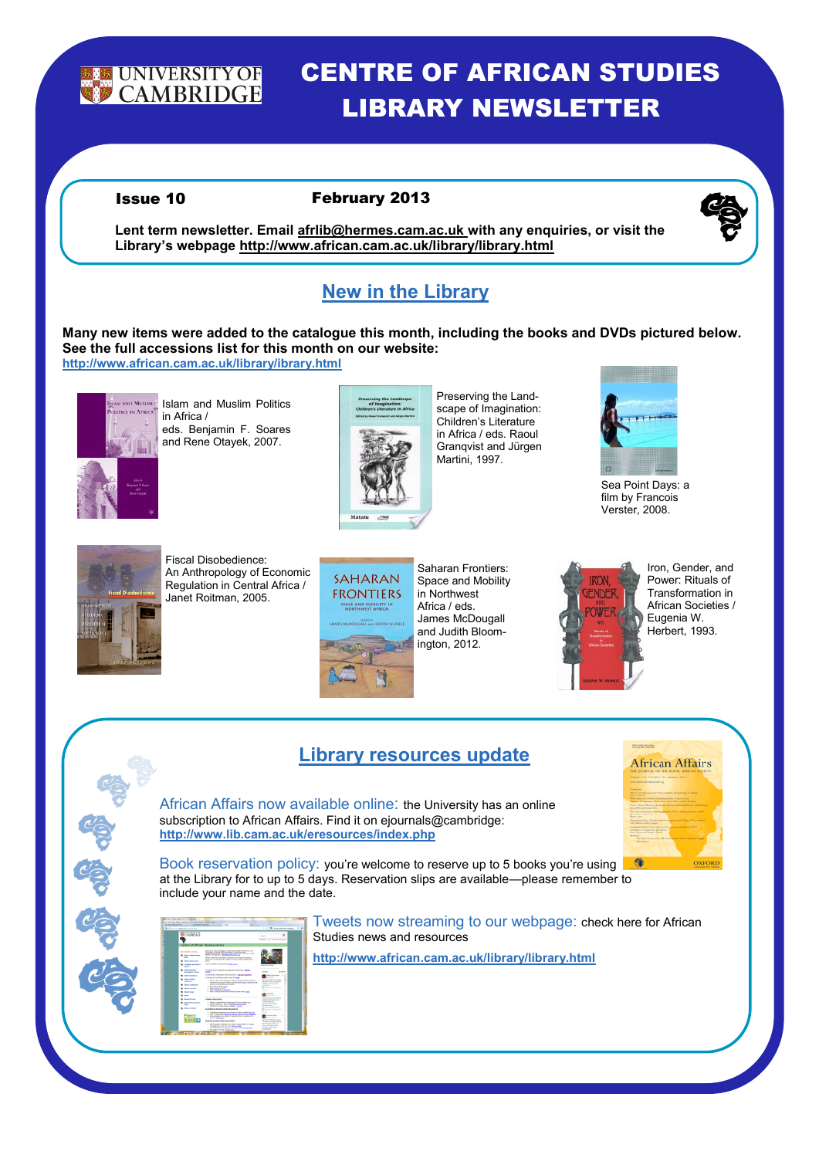

# CENTRE OF AFRICAN STUDIES LIBRARY NEWSLETTER

#### Issue 10 February 2013



**Lent term newsletter. Email afrlib@hermes.cam.ac.uk with any enquiries, or visit the Library's webpage http://www.african.cam.ac.uk/library/library.html**

## **New in the Library**

**Many new items were added to the catalogue this month, including the books and DVDs pictured below. See the full accessions list for this month on our website: http://www.african.cam.ac.uk/library/ibrary.html**



Islam and Muslim Politics in Africa / eds. Benjamin F. Soares and Rene Otayek, 2007.



Preserving the Landscape of Imagination: Children's Literature in Africa / eds. Raoul Granqvist and Jürgen Martini, 1997.



Sea Point Days: a film by Francois Verster, 2008.



Fiscal Disobedience: An Anthropology of Economic Regulation in Central Africa / Janet Roitman, 2005.



Saharan Frontiers: Space and Mobility in Northwest Africa / eds. James McDougall and Judith Bloomington, 2012.



Iron, Gender, and Power: Rituals of Transformation in African Societies / Eugenia W. Herbert, 1993.

## **Library resources update**

African Affairs now available online: the University has an online subscription to African Affairs. Find it on ejournals@cambridge: **http://www.lib.cam.ac.uk/eresources/index.php**



Book reservation policy: you're welcome to reserve up to 5 books you're using at the Library for to up to 5 days. Reservation slips are available—please remember to include your name and the date.

|                          | <b>Brown of the Subscript Containers</b><br>to an use that detects and can seen one can                                                                                                                                                                                                                                                            |                                                                                                                                                                                                                                                                                                                                                                                                                                                                                                                                                                                                                                                                                                                                                                                                                                                                                                                                                   |                                                                                                                                                                                                                                                     |
|--------------------------|----------------------------------------------------------------------------------------------------------------------------------------------------------------------------------------------------------------------------------------------------------------------------------------------------------------------------------------------------|---------------------------------------------------------------------------------------------------------------------------------------------------------------------------------------------------------------------------------------------------------------------------------------------------------------------------------------------------------------------------------------------------------------------------------------------------------------------------------------------------------------------------------------------------------------------------------------------------------------------------------------------------------------------------------------------------------------------------------------------------------------------------------------------------------------------------------------------------------------------------------------------------------------------------------------------------|-----------------------------------------------------------------------------------------------------------------------------------------------------------------------------------------------------------------------------------------------------|
| A heater behavior better | 1   M. Malyris Configuration<br><b>BUS</b> constitutions and for a financial                                                                                                                                                                                                                                                                       | Total                                                                                                                                                                                                                                                                                                                                                                                                                                                                                                                                                                                                                                                                                                                                                                                                                                                                                                                                             | Corp. 18. And Adolescenters                                                                                                                                                                                                                         |
|                          | <b>BRIDGETY OF</b><br><b>CRASHOLL</b>                                                                                                                                                                                                                                                                                                              |                                                                                                                                                                                                                                                                                                                                                                                                                                                                                                                                                                                                                                                                                                                                                                                                                                                                                                                                                   | <b>Sauce</b><br><b>Company's Card Christ Andrew Awards</b>                                                                                                                                                                                          |
|                          | Centre of Milcan Studies Library                                                                                                                                                                                                                                                                                                                   |                                                                                                                                                                                                                                                                                                                                                                                                                                                                                                                                                                                                                                                                                                                                                                                                                                                                                                                                                   |                                                                                                                                                                                                                                                     |
|                          | <b>Endingerment and selected</b><br><b>By Allian States lane</b><br>--<br><b>Chronic Normi pego</b><br><b>Calledge and Service</b><br>-<br><b>Gration Instructor</b><br><b><i><u>ANGELINE CARDS</u></i></b><br>Online Estatement<br><b>Calling Added</b><br>---<br><b>Library relations</b><br><b>Bright services</b><br><b>Burger sends</b><br>-- | Service And Andrews In History and an education and<br>No office Andrews Andrews Andrews Andrews Andrews<br>Northern Of Old Britis, Company Andrews African, analy<br><b>Policy and take a programmation</b><br>Please nationfied and allows material is new bank in hasanant<br>stress and are will excurredly remains his future notice to full from an<br><b>Exist</b><br>Current's departments are a company text<br>To search decays subside throughout the information in Bones<br>said for<br>To find these information in the University - Alexander Galleries<br>To durate for East Africa Eardrochaf shik bare<br>1. When your art will next to mike program before alliance.<br>extent for publica. Please prestic databalary, below the life.<br>seller and automatical experience<br>1 Jaungs of Anders hard<br>1. New heats had month.<br>1. Burg selectional color by<br>1. Then be bed accords a disc Marco Division Marco Tools. | looks for Brian<br><b>BB M-At Audust</b><br>. .<br>the annual Associate for prompts.<br>with African in France Belling<br><b>UNITED ATTORNEYS</b><br>patchet(C)<br>EX following to this dock is<br><b>Council</b><br><b>Ballyman</b><br>$-100$      |
|                          | <b>BoxerA</b> Texts<br><b>Other Altitude Station</b><br>$\sim$<br>Library contents                                                                                                                                                                                                                                                                 | <b>LEASED BOOK AT LC</b><br>1. Boad to cated. Within beneavour. Becausing over<br>1. Amont Galleriers - British Amodologies and London<br>1. Federal Milk Harvey and die - hit die<br><b><i>DATABLE AND AN VEHICLE BESTERTE</i></b><br>> Combridge University Prizes Chevrolet on Minia and Milk and Mi.                                                                                                                                                                                                                                                                                                                                                                                                                                                                                                                                                                                                                                          | and their finders or interested and<br><b>Madium And Continental Ave</b><br><b>Holina Para 16</b><br>dealer's work the lighting<br><b>Brookly Intra</b><br><b><i>Lating As half antichers</i></b><br>Ell futurated to tells studies<br><b>State</b> |
|                          | <b>MARCUS</b>                                                                                                                                                                                                                                                                                                                                      | 1. Now in character managery affects restrict full hard database.<br>> Development one without Decline What a walk in the<br>and an information.<br>APRIL VA STATISTA BEING AND FUTURE<br>1. Till dominant Forbingne to obtain Shakes Write Strategy.<br>Perhaps have 24 to 24. 2010 call by pumps<br>a contractador aprile les coras Nevas el Juez escritor.<br>1. Restriction Service Program service                                                                                                                                                                                                                                                                                                                                                                                                                                                                                                                                           | <b>Andrea Library</b><br><b>COLLEGE</b><br>Christian Moreston Commission<br>The locals also dealership between<br>but all experts, our<br>situates mechanicales.<br>tenden site land<br><b>Grandman II</b>                                          |

Tweets now streaming to our webpage: check here for African Studies news and resources

**http://www.african.cam.ac.uk/library/library.html**